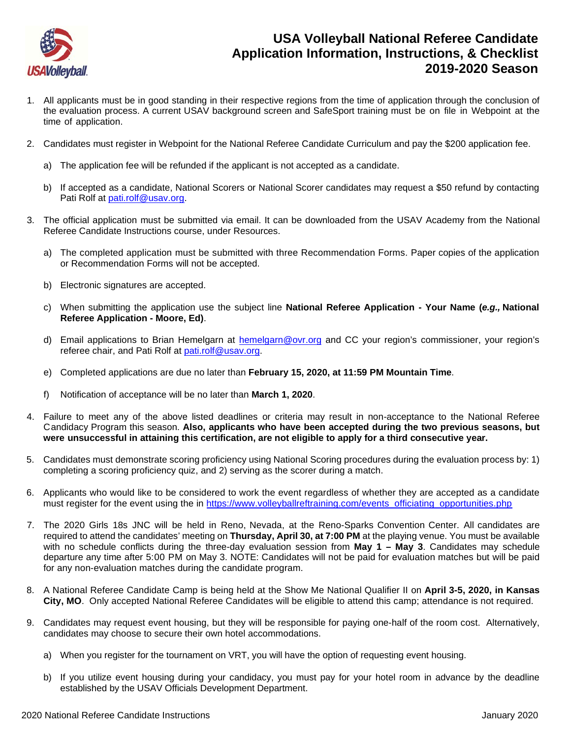

## **USA Volleyball National Referee Candidate Application Information, Instructions, & Checklist 2019-2020 Season**

- 1. All applicants must be in good standing in their respective regions from the time of application through the conclusion of the evaluation process. A current USAV background screen and SafeSport training must be on file in Webpoint at the time of application.
- 2. Candidates must register in Webpoint for the National Referee Candidate Curriculum and pay the \$200 application fee.
	- a) The application fee will be refunded if the applicant is not accepted as a candidate.
	- b) If accepted as a candidate, National Scorers or National Scorer candidates may request a \$50 refund by contacting Pati Rolf at [pati.rolf@usav.org.](mailto:pati.rolf@usav.org)
- 3. The official application must be submitted via email. It can be downloaded from the USAV Academy from the National Referee Candidate Instructions course, under Resources.
	- a) The completed application must be submitted with three Recommendation Forms. Paper copies of the application or Recommendation Forms will not be accepted.
	- b) Electronic signatures are accepted.
	- c) When submitting the application use the subject line **National Referee Application - Your Name (***e.g.,* **National Referee Application - Moore, Ed)**.
	- d) Email applications to Brian Hemelgarn at [hemelgarn@ovr.org](mailto:hemelgarn@ovr.org) and CC your region's commissioner, your region's referee chair, and Pati Rolf at [pati.rolf@usav.org.](mailto:pati.rolf@usav.org)
	- e) Completed applications are due no later than **February 15, 2020, at 11:59 PM Mountain Time**.
	- f) Notification of acceptance will be no later than **March 1, 2020**.
- 4. Failure to meet any of the above listed deadlines or criteria may result in non-acceptance to the National Referee Candidacy Program this season. **Also, applicants who have been accepted during the two previous seasons, but were unsuccessful in attaining this certification, are not eligible to apply for a third consecutive year.**
- 5. Candidates must demonstrate scoring proficiency using National Scoring procedures during the evaluation process by: 1) completing a scoring proficiency quiz, and 2) serving as the scorer during a match.
- 6. Applicants who would like to be considered to work the event regardless of whether they are accepted as a candidate must register for the event using the in https://www.volleyballreftraining.com/events\_officiating\_opportunities.php
- 7. The 2020 Girls 18s JNC will be held in Reno, Nevada, at the Reno-Sparks Convention Center. All candidates are required to attend the candidates' meeting on **Thursday, April 30, at 7:00 PM** at the playing venue. You must be available with no schedule conflicts during the three-day evaluation session from **May 1 – May 3**. Candidates may schedule departure any time after 5:00 PM on May 3. NOTE: Candidates will not be paid for evaluation matches but will be paid for any non-evaluation matches during the candidate program.
- 8. A National Referee Candidate Camp is being held at the Show Me National Qualifier II on **April 3-5, 2020, in Kansas City, MO**. Only accepted National Referee Candidates will be eligible to attend this camp; attendance is not required.
- 9. Candidates may request event housing, but they will be responsible for paying one-half of the room cost. Alternatively, candidates may choose to secure their own hotel accommodations.
	- a) When you register for the tournament on VRT, you will have the option of requesting event housing.
	- b) If you utilize event housing during your candidacy, you must pay for your hotel room in advance by the deadline established by the USAV Officials Development Department.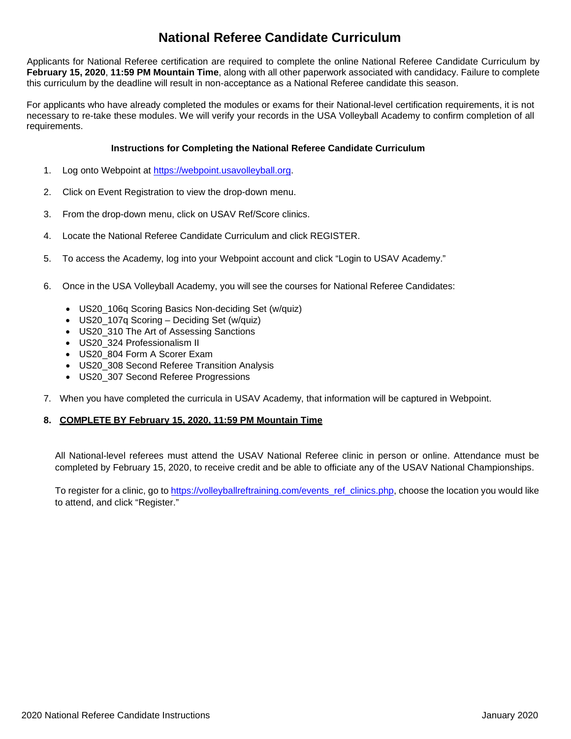# **National Referee Candidate Curriculum**

Applicants for National Referee certification are required to complete the online National Referee Candidate Curriculum by **February 15, 2020**, **11:59 PM Mountain Time**, along with all other paperwork associated with candidacy. Failure to complete this curriculum by the deadline will result in non-acceptance as a National Referee candidate this season.

For applicants who have already completed the modules or exams for their National-level certification requirements, it is not necessary to re-take these modules. We will verify your records in the USA Volleyball Academy to confirm completion of all requirements.

#### **Instructions for Completing the National Referee Candidate Curriculum**

- 1. Log onto Webpoint at [https://webpoint.usavolleyball.org.](https://webpoint.usavolleyball.org/)
- 2. Click on Event Registration to view the drop-down menu.
- 3. From the drop-down menu, click on USAV Ref/Score clinics.
- 4. Locate the National Referee Candidate Curriculum and click REGISTER.
- 5. To access the Academy, log into your Webpoint account and click "Login to USAV Academy."
- 6. Once in the USA Volleyball Academy, you will see the courses for National Referee Candidates:
	- US20 106q Scoring Basics Non-deciding Set (w/quiz)
	- US20 107q Scoring Deciding Set (w/quiz)
	- US20\_310 The Art of Assessing Sanctions
	- US20\_324 Professionalism II
	- US20 804 Form A Scorer Exam
	- US20\_308 Second Referee Transition Analysis
	- US20\_307 Second Referee Progressions
- 7. When you have completed the curricula in USAV Academy, that information will be captured in Webpoint.

### **8. COMPLETE BY February 15, 2020, 11:59 PM Mountain Time**

All National-level referees must attend the USAV National Referee clinic in person or online. Attendance must be completed by February 15, 2020, to receive credit and be able to officiate any of the USAV National Championships.

To register for a clinic, go to [https://volleyballreftraining.com/events\\_ref\\_clinics.php,](https://volleyballreftraining.com/events_ref_clinics.php) choose the location you would like to attend, and click "Register."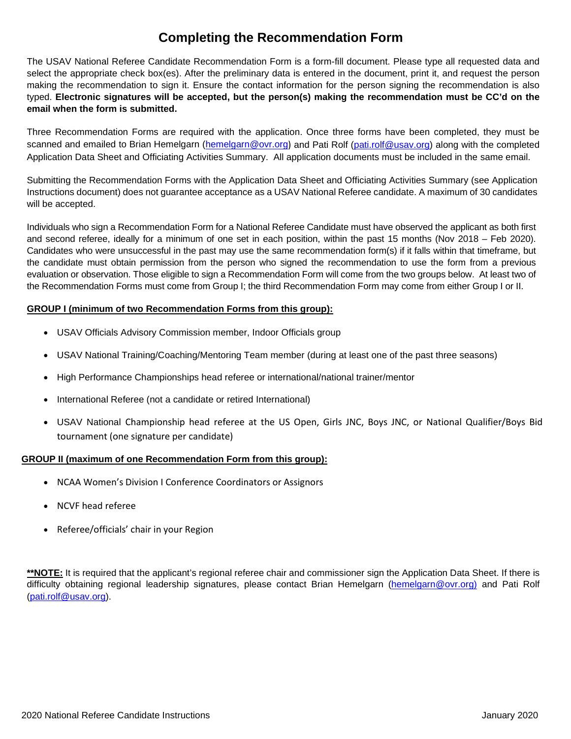## **Completing the Recommendation Form**

The USAV National Referee Candidate Recommendation Form is a form-fill document. Please type all requested data and select the appropriate check box(es). After the preliminary data is entered in the document, print it, and request the person making the recommendation to sign it. Ensure the contact information for the person signing the recommendation is also typed. **Electronic signatures will be accepted, but the person(s) making the recommendation must be CC'd on the email when the form is submitted.**

Three Recommendation Forms are required with the application. Once three forms have been completed, they must be scanned and emailed to Brian Hemelgarn [\(hemelgarn@ovr.org](mailto:hemelgarn@ovr.org)) and Pati Rolf [\(pati.rolf@usav.org\)](mailto:pati.rolf@usav.org) along with the completed Application Data Sheet and Officiating Activities Summary. All application documents must be included in the same email.

Submitting the Recommendation Forms with the Application Data Sheet and Officiating Activities Summary (see Application Instructions document) does not guarantee acceptance as a USAV National Referee candidate. A maximum of 30 candidates will be accepted.

Individuals who sign a Recommendation Form for a National Referee Candidate must have observed the applicant as both first and second referee, ideally for a minimum of one set in each position, within the past 15 months (Nov 2018 – Feb 2020). Candidates who were unsuccessful in the past may use the same recommendation form(s) if it falls within that timeframe, but the candidate must obtain permission from the person who signed the recommendation to use the form from a previous evaluation or observation. Those eligible to sign a Recommendation Form will come from the two groups below. At least two of the Recommendation Forms must come from Group I; the third Recommendation Form may come from either Group I or II.

### **GROUP I (minimum of two Recommendation Forms from this group):**

- USAV Officials Advisory Commission member, Indoor Officials group
- USAV National Training/Coaching/Mentoring Team member (during at least one of the past three seasons)
- High Performance Championships head referee or international/national trainer/mentor
- International Referee (not a candidate or retired International)
- USAV National Championship head referee at the US Open, Girls JNC, Boys JNC, or National Qualifier/Boys Bid tournament (one signature per candidate)

### **GROUP II (maximum of one Recommendation Form from this group):**

- NCAA Women's Division I Conference Coordinators or Assignors
- NCVF head referee
- Referee/officials' chair in your Region

**\*\*NOTE:** It is required that the applicant's regional referee chair and commissioner sign the Application Data Sheet. If there is difficulty obtaining regional leadership signatures, please contact Brian Hemelgarn [\(hemelgarn@ovr.org\)](mailto:hemelgarn@ovr.org) and Pati Rolf [\(pati.rolf@usav.org\)](mailto:pati.rolf@usav.org).